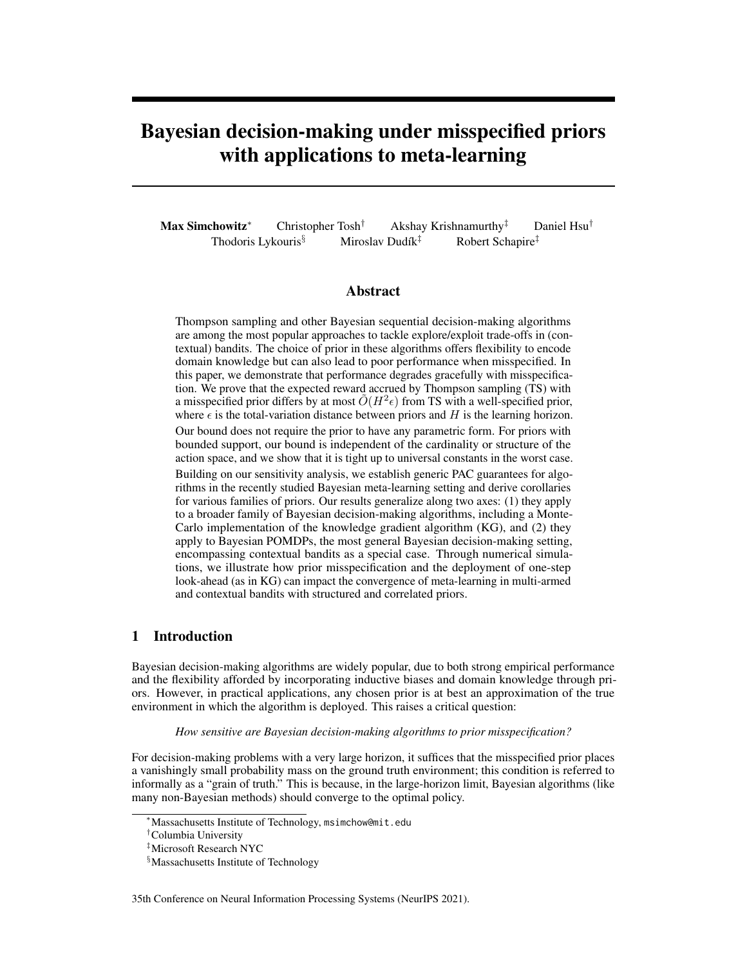# Bayesian decision-making under misspecified priors with applications to meta-learning

Max Simchowitz<sup>\*</sup> Christopher Tosh<sup>†</sup> Akshay Krishnamurthy<sup>‡</sup> Daniel Hsu<sup>†</sup> Thodoris Lykouris<sup>§</sup> Miroslav Dudík<sup>‡</sup> Robert Schapire<sup>‡</sup>

# Abstract

Thompson sampling and other Bayesian sequential decision-making algorithms are among the most popular approaches to tackle explore/exploit trade-offs in (contextual) bandits. The choice of prior in these algorithms offers flexibility to encode domain knowledge but can also lead to poor performance when misspecified. In this paper, we demonstrate that performance degrades gracefully with misspecification. We prove that the expected reward accrued by Thompson sampling (TS) with a misspecified prior differs by at most  $\tilde{O}(H^2 \epsilon)$  from TS with a well-specified prior, where  $\epsilon$  is the total-variation distance between priors and H is the learning horizon.

Our bound does not require the prior to have any parametric form. For priors with bounded support, our bound is independent of the cardinality or structure of the action space, and we show that it is tight up to universal constants in the worst case.

Building on our sensitivity analysis, we establish generic PAC guarantees for algorithms in the recently studied Bayesian meta-learning setting and derive corollaries for various families of priors. Our results generalize along two axes: (1) they apply to a broader family of Bayesian decision-making algorithms, including a Monte-Carlo implementation of the knowledge gradient algorithm (KG), and (2) they apply to Bayesian POMDPs, the most general Bayesian decision-making setting, encompassing contextual bandits as a special case. Through numerical simulations, we illustrate how prior misspecification and the deployment of one-step look-ahead (as in KG) can impact the convergence of meta-learning in multi-armed and contextual bandits with structured and correlated priors.

# 1 Introduction

Bayesian decision-making algorithms are widely popular, due to both strong empirical performance and the flexibility afforded by incorporating inductive biases and domain knowledge through priors. However, in practical applications, any chosen prior is at best an approximation of the true environment in which the algorithm is deployed. This raises a critical question:

*How sensitive are Bayesian decision-making algorithms to prior misspecification?*

For decision-making problems with a very large horizon, it suffices that the misspecified prior places a vanishingly small probability mass on the ground truth environment; this condition is referred to informally as a "grain of truth." This is because, in the large-horizon limit, Bayesian algorithms (like many non-Bayesian methods) should converge to the optimal policy.

35th Conference on Neural Information Processing Systems (NeurIPS 2021).

<sup>∗</sup>Massachusetts Institute of Technology, msimchow@mit.edu

<sup>†</sup>Columbia University

<sup>‡</sup>Microsoft Research NYC

<sup>§</sup>Massachusetts Institute of Technology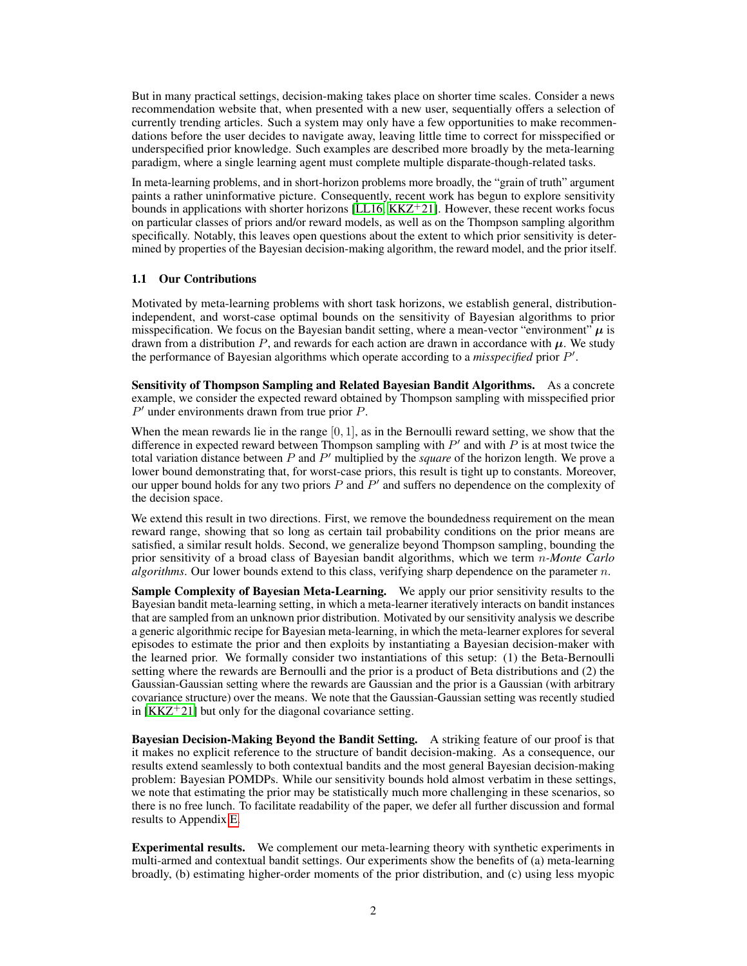But in many practical settings, decision-making takes place on shorter time scales. Consider a news recommendation website that, when presented with a new user, sequentially offers a selection of currently trending articles. Such a system may only have a few opportunities to make recommendations before the user decides to navigate away, leaving little time to correct for misspecified or underspecified prior knowledge. Such examples are described more broadly by the meta-learning paradigm, where a single learning agent must complete multiple disparate-though-related tasks.

In meta-learning problems, and in short-horizon problems more broadly, the "grain of truth" argument paints a rather uninformative picture. Consequently, recent work has begun to explore sensitivity bounds in applications with shorter horizons [\[LL16,](#page-11-0) [KKZ](#page-11-1) $+21$ ]. However, these recent works focus on particular classes of priors and/or reward models, as well as on the Thompson sampling algorithm specifically. Notably, this leaves open questions about the extent to which prior sensitivity is determined by properties of the Bayesian decision-making algorithm, the reward model, and the prior itself.

# 1.1 Our Contributions

Motivated by meta-learning problems with short task horizons, we establish general, distributionindependent, and worst-case optimal bounds on the sensitivity of Bayesian algorithms to prior misspecification. We focus on the Bayesian bandit setting, where a mean-vector "environment"  $\mu$  is drawn from a distribution  $P$ , and rewards for each action are drawn in accordance with  $\mu$ . We study the performance of Bayesian algorithms which operate according to a *misspecified* prior P ′ .

Sensitivity of Thompson Sampling and Related Bayesian Bandit Algorithms. As a concrete example, we consider the expected reward obtained by Thompson sampling with misspecified prior P ′ under environments drawn from true prior P.

When the mean rewards lie in the range  $[0, 1]$ , as in the Bernoulli reward setting, we show that the difference in expected reward between Thompson sampling with  $P'$  and with  $P$  is at most twice the total variation distance between P and P ′ multiplied by the *square* of the horizon length. We prove a lower bound demonstrating that, for worst-case priors, this result is tight up to constants. Moreover, our upper bound holds for any two priors  $P$  and  $P'$  and suffers no dependence on the complexity of the decision space.

We extend this result in two directions. First, we remove the boundedness requirement on the mean reward range, showing that so long as certain tail probability conditions on the prior means are satisfied, a similar result holds. Second, we generalize beyond Thompson sampling, bounding the prior sensitivity of a broad class of Bayesian bandit algorithms, which we term n*-Monte Carlo algorithms*. Our lower bounds extend to this class, verifying sharp dependence on the parameter n.

Sample Complexity of Bayesian Meta-Learning. We apply our prior sensitivity results to the Bayesian bandit meta-learning setting, in which a meta-learner iteratively interacts on bandit instances that are sampled from an unknown prior distribution. Motivated by our sensitivity analysis we describe a generic algorithmic recipe for Bayesian meta-learning, in which the meta-learner explores for several episodes to estimate the prior and then exploits by instantiating a Bayesian decision-maker with the learned prior. We formally consider two instantiations of this setup: (1) the Beta-Bernoulli setting where the rewards are Bernoulli and the prior is a product of Beta distributions and (2) the Gaussian-Gaussian setting where the rewards are Gaussian and the prior is a Gaussian (with arbitrary covariance structure) over the means. We note that the Gaussian-Gaussian setting was recently studied in  $[KKZ^+21]$  $[KKZ^+21]$  but only for the diagonal covariance setting.

Bayesian Decision-Making Beyond the Bandit Setting. A striking feature of our proof is that it makes no explicit reference to the structure of bandit decision-making. As a consequence, our results extend seamlessly to both contextual bandits and the most general Bayesian decision-making problem: Bayesian POMDPs. While our sensitivity bounds hold almost verbatim in these settings, we note that estimating the prior may be statistically much more challenging in these scenarios, so there is no free lunch. To facilitate readability of the paper, we defer all further discussion and formal results to Appendix [E.](#page--1-0)

Experimental results. We complement our meta-learning theory with synthetic experiments in multi-armed and contextual bandit settings. Our experiments show the benefits of (a) meta-learning broadly, (b) estimating higher-order moments of the prior distribution, and (c) using less myopic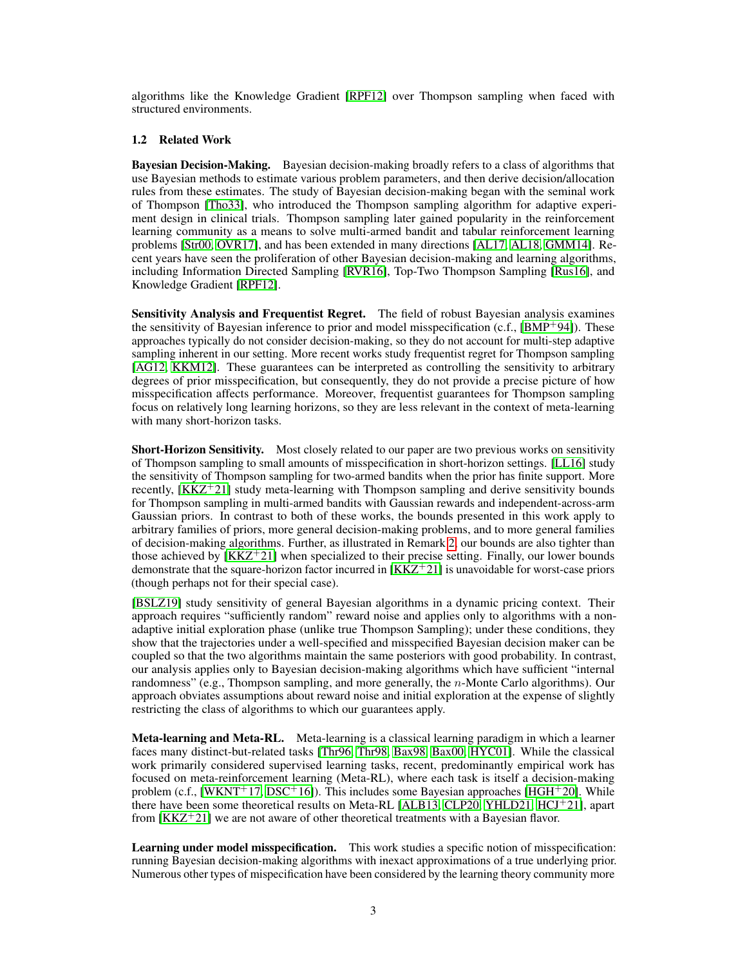algorithms like the Knowledge Gradient [\[RPF12\]](#page-11-2) over Thompson sampling when faced with structured environments.

#### 1.2 Related Work

Bayesian Decision-Making. Bayesian decision-making broadly refers to a class of algorithms that use Bayesian methods to estimate various problem parameters, and then derive decision/allocation rules from these estimates. The study of Bayesian decision-making began with the seminal work of Thompson [\[Tho33\]](#page-12-0), who introduced the Thompson sampling algorithm for adaptive experiment design in clinical trials. Thompson sampling later gained popularity in the reinforcement learning community as a means to solve multi-armed bandit and tabular reinforcement learning problems [\[Str00,](#page-11-3) [OVR17\]](#page-11-4), and has been extended in many directions [\[AL17,](#page-9-0) [AL18,](#page-10-0) [GMM14\]](#page-10-1). Recent years have seen the proliferation of other Bayesian decision-making and learning algorithms, including Information Directed Sampling [\[RVR16\]](#page-11-5), Top-Two Thompson Sampling [\[Rus16\]](#page-11-6), and Knowledge Gradient [\[RPF12\]](#page-11-2).

Sensitivity Analysis and Frequentist Regret. The field of robust Bayesian analysis examines the sensitivity of Bayesian inference to prior and model misspecification (c.f.,  $[BMP+94]$  $[BMP+94]$ ). These approaches typically do not consider decision-making, so they do not account for multi-step adaptive sampling inherent in our setting. More recent works study frequentist regret for Thompson sampling [\[AG12,](#page-9-1) [KKM12\]](#page-11-7). These guarantees can be interpreted as controlling the sensitivity to arbitrary degrees of prior misspecification, but consequently, they do not provide a precise picture of how misspecification affects performance. Moreover, frequentist guarantees for Thompson sampling focus on relatively long learning horizons, so they are less relevant in the context of meta-learning with many short-horizon tasks.

Short-Horizon Sensitivity. Most closely related to our paper are two previous works on sensitivity of Thompson sampling to small amounts of misspecification in short-horizon settings. [\[LL16\]](#page-11-0) study the sensitivity of Thompson sampling for two-armed bandits when the prior has finite support. More recently, [\[KKZ](#page-11-1)+21] study meta-learning with Thompson sampling and derive sensitivity bounds for Thompson sampling in multi-armed bandits with Gaussian rewards and independent-across-arm Gaussian priors. In contrast to both of these works, the bounds presented in this work apply to arbitrary families of priors, more general decision-making problems, and to more general families of decision-making algorithms. Further, as illustrated in Remark [2,](#page-7-0) our bounds are also tighter than those achieved by  $[KKZ^+21]$  $[KKZ^+21]$  when specialized to their precise setting. Finally, our lower bounds demonstrate that the square-horizon factor incurred in  $[KKZ^+21]$  $[KKZ^+21]$  is unavoidable for worst-case priors (though perhaps not for their special case).

[\[BSLZ19\]](#page-10-3) study sensitivity of general Bayesian algorithms in a dynamic pricing context. Their approach requires "sufficiently random" reward noise and applies only to algorithms with a nonadaptive initial exploration phase (unlike true Thompson Sampling); under these conditions, they show that the trajectories under a well-specified and misspecified Bayesian decision maker can be coupled so that the two algorithms maintain the same posteriors with good probability. In contrast, our analysis applies only to Bayesian decision-making algorithms which have sufficient "internal randomness" (e.g., Thompson sampling, and more generally, the *n*-Monte Carlo algorithms). Our approach obviates assumptions about reward noise and initial exploration at the expense of slightly restricting the class of algorithms to which our guarantees apply.

Meta-learning and Meta-RL. Meta-learning is a classical learning paradigm in which a learner faces many distinct-but-related tasks [\[Thr96,](#page-12-1) [Thr98,](#page-12-2) [Bax98,](#page-10-4) [Bax00,](#page-10-5) [HYC01\]](#page-11-8). While the classical work primarily considered supervised learning tasks, recent, predominantly empirical work has focused on meta-reinforcement learning (Meta-RL), where each task is itself a decision-making problem (c.f., [\[WKNT](#page-12-3)<sup>+</sup>17, [DSC](#page-10-6)<sup>+</sup>16]). This includes some Bayesian approaches [\[HGH](#page-11-9)<sup>+</sup>20]. While there have been some theoretical results on Meta-RL [\[ALB13,](#page-10-7) [CLP20,](#page-10-8) [YHLD21,](#page-12-4) [HCJ](#page-11-10)<sup>+</sup>21], apart from  $[KKZ^+21]$  $[KKZ^+21]$  we are not aware of other theoretical treatments with a Bayesian flavor.

Learning under model misspecification. This work studies a specific notion of misspecification: running Bayesian decision-making algorithms with inexact approximations of a true underlying prior. Numerous other types of mispecification have been considered by the learning theory community more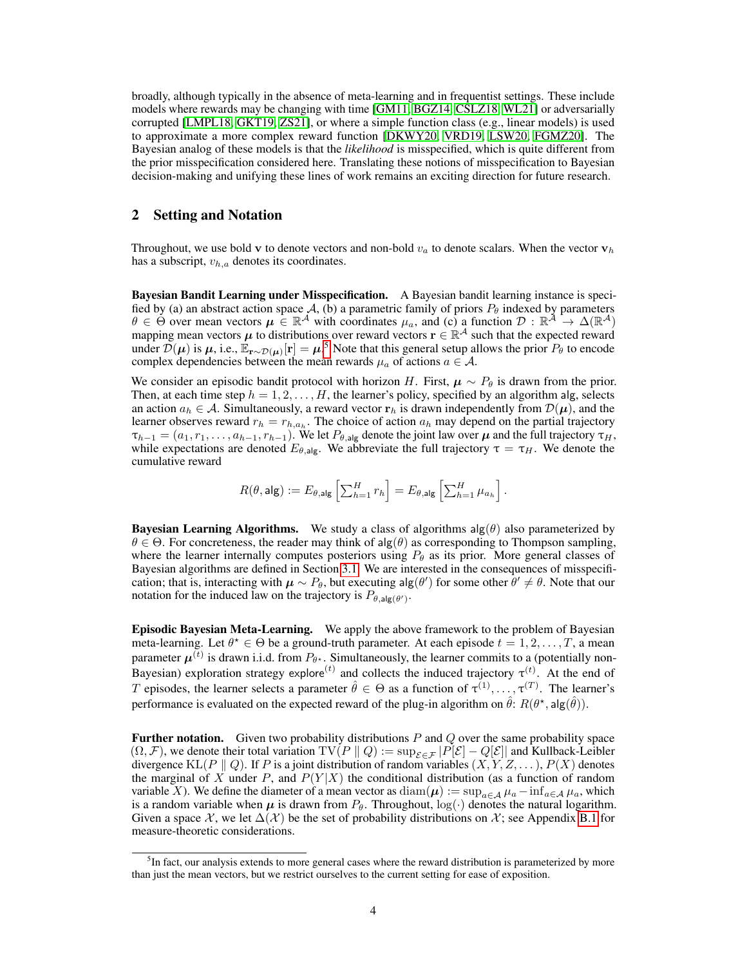broadly, although typically in the absence of meta-learning and in frequentist settings. These include models where rewards may be changing with time [\[GM11,](#page-10-9) [BGZ14,](#page-10-10) [CSLZ18,](#page-10-11) [WL21\]](#page-12-5) or adversarially corrupted [\[LMPL18,](#page-11-11) [GKT19,](#page-10-12) [ZS21\]](#page-12-6), or where a simple function class (e.g., linear models) is used to approximate a more complex reward function [\[DKWY20,](#page-10-13) [VRD19,](#page-12-7) [LSW20,](#page-11-12) [FGMZ20\]](#page-10-14). The Bayesian analog of these models is that the *likelihood* is misspecified, which is quite different from the prior misspecification considered here. Translating these notions of misspecification to Bayesian decision-making and unifying these lines of work remains an exciting direction for future research.

# 2 Setting and Notation

Throughout, we use bold v to denote vectors and non-bold  $v_a$  to denote scalars. When the vector  $v_h$ has a subscript,  $v_{h,a}$  denotes its coordinates.

Bayesian Bandit Learning under Misspecification. A Bayesian bandit learning instance is specified by (a) an abstract action space A, (b) a parametric family of priors  $P_{\theta}$  indexed by parameters  $\theta \in \Theta$  over mean vectors  $\mu \in \mathbb{R}^{\mathcal{A}}$  with coordinates  $\mu_a$ , and (c) a function  $\mathcal{D}: \mathbb{R}^{\mathcal{A}} \to \Delta(\mathbb{R}^{\mathcal{A}})$ mapping mean vectors  $\mu$  to distributions over reward vectors  $r \in \mathbb{R}^{\mathcal{A}}$  such that the expected reward under  $\mathcal{D}(\mu)$  is  $\mu$ , i.e.,  $\mathbb{E}_{\mathbf{r} \sim \mathcal{D}(\mu)}[\mathbf{r}] = \mu^5$  $\mathbb{E}_{\mathbf{r} \sim \mathcal{D}(\mu)}[\mathbf{r}] = \mu^5$ . Note that this general setup allows the prior  $P_\theta$  to encode complex dependencies between the mean rewards  $\mu_a$  of actions  $a \in \mathcal{A}$ .

We consider an episodic bandit protocol with horizon H. First,  $\mu \sim P_\theta$  is drawn from the prior. Then, at each time step  $h = 1, 2, \ldots, H$ , the learner's policy, specified by an algorithm alg, selects an action  $a_h \in \mathcal{A}$ . Simultaneously, a reward vector  $\mathbf{r}_h$  is drawn independently from  $\mathcal{D}(\mu)$ , and the learner observes reward  $r_h = r_{h,a_h}$ . The choice of action  $a_h$  may depend on the partial trajectory  $\tau_{h-1} = (a_1, r_1, \ldots, a_{h-1}, r_{h-1})$ . We let  $P_{\theta, \text{alg}}$  denote the joint law over  $\mu$  and the full trajectory  $\tau_H$ , while expectations are denoted  $E_{\theta, \text{alg}}$ . We abbreviate the full trajectory  $\tau = \tau_H$ . We denote the cumulative reward

$$
R(\theta, \mathsf{alg}) := E_{\theta, \mathsf{alg}} \left[ \sum_{h=1}^H r_h \right] = E_{\theta, \mathsf{alg}} \left[ \sum_{h=1}^H \mu_{a_h} \right].
$$

**Bayesian Learning Algorithms.** We study a class of algorithms  $\text{alg}(\theta)$  also parameterized by  $\theta \in \Theta$ . For concreteness, the reader may think of alg $(\theta)$  as corresponding to Thompson sampling, where the learner internally computes posteriors using  $P_{\theta}$  as its prior. More general classes of Bayesian algorithms are defined in Section [3.1.](#page-4-0) We are interested in the consequences of misspecification; that is, interacting with  $\mu \sim P_\theta$ , but executing alg( $\theta'$ ) for some other  $\theta' \neq \theta$ . Note that our notation for the induced law on the trajectory is  $P_{\theta, \text{alg}(\theta')}$ .

Episodic Bayesian Meta-Learning. We apply the above framework to the problem of Bayesian meta-learning. Let  $\theta^* \in \Theta$  be a ground-truth parameter. At each episode  $t = 1, 2, ..., T$ , a mean parameter  $\mu^{(t)}$  is drawn i.i.d. from  $P_{\theta^{\star}}$ . Simultaneously, the learner commits to a (potentially non-Bayesian) exploration strategy explore<sup>(t)</sup> and collects the induced trajectory  $\tau^{(t)}$ . At the end of T episodes, the learner selects a parameter  $\hat{\theta} \in \Theta$  as a function of  $\tau^{(1)}, \ldots, \tau^{(T)}$ . The learner's performance is evaluated on the expected reward of the plug-in algorithm on  $\hat{\theta}$ :  $R(\theta^*, \mathsf{alg}(\hat{\theta}))$ .

Further notation. Given two probability distributions  $P$  and  $Q$  over the same probability space  $(\Omega, \mathcal{F})$ , we denote their total variation  $TV(P || Q) := \sup_{\mathcal{E} \in \mathcal{F}} |P[\mathcal{E}] - Q[\mathcal{E}]|$  and Kullback-Leibler divergence KL( $P \parallel Q$ ). If P is a joint distribution of random variables  $(X, Y, Z, \dots)$ ,  $P(X)$  denotes the marginal of X under P, and  $P(Y|X)$  the conditional distribution (as a function of random variable X). We define the diameter of a mean vector as  $\text{diam}(\mu) := \sup_{a \in A} \mu_a - \inf_{a \in A} \mu_a$ , which is a random variable when  $\mu$  is drawn from  $P_{\theta}$ . Throughout,  $log(\cdot)$  denotes the natural logarithm. Given a space X, we let  $\Delta(\mathcal{X})$  be the set of probability distributions on X; see Appendix [B.1](#page--1-1) for measure-theoretic considerations.

<span id="page-3-0"></span><sup>&</sup>lt;sup>5</sup>In fact, our analysis extends to more general cases where the reward distribution is parameterized by more than just the mean vectors, but we restrict ourselves to the current setting for ease of exposition.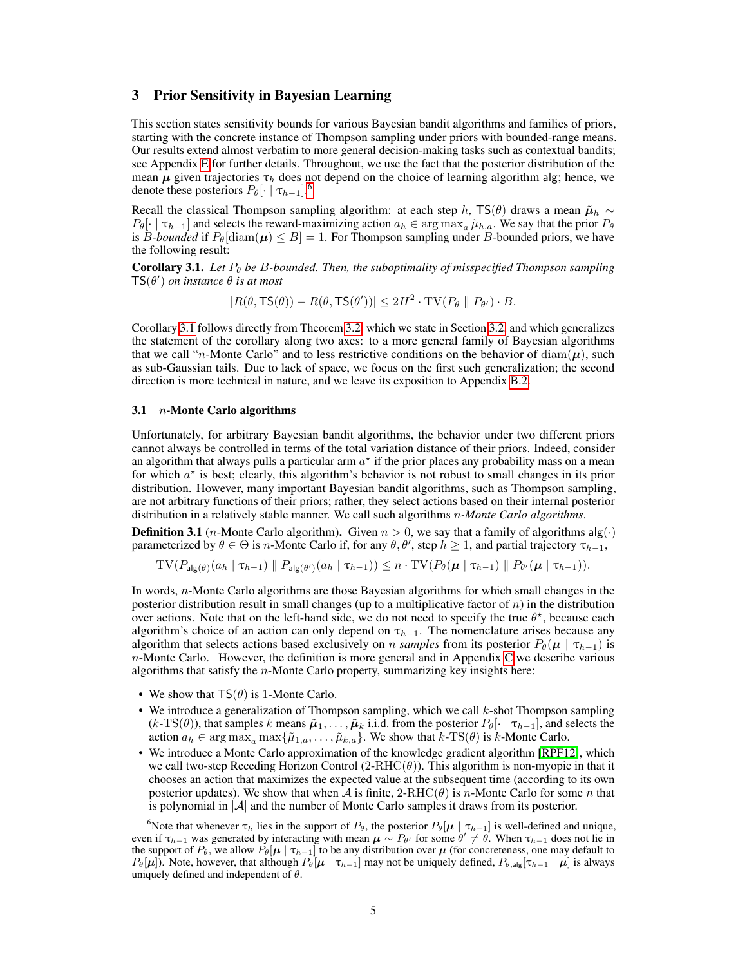# 3 Prior Sensitivity in Bayesian Learning

This section states sensitivity bounds for various Bayesian bandit algorithms and families of priors, starting with the concrete instance of Thompson sampling under priors with bounded-range means. Our results extend almost verbatim to more general decision-making tasks such as contextual bandits; see Appendix [E](#page--1-0) for further details. Throughout, we use the fact that the posterior distribution of the mean  $\mu$  given trajectories  $\tau_h$  does not depend on the choice of learning algorithm alg; hence, we denote these posteriors  $P_{\theta}[\cdot \mid \tau_{h-1}]$ .<sup>[6](#page-4-1)</sup>

Recall the classical Thompson sampling algorithm: at each step h, TS( $\theta$ ) draws a mean  $\tilde{\mu}_h \sim$  $P_{\theta}[\cdot | \tau_{h-1}]$  and selects the reward-maximizing action  $a_h \in \arg \max_a \tilde{\mu}_{h,a}$ . We say that the prior  $P_{\theta}$ is B-bounded if  $P_{\theta}$ [diam( $\mu$ )  $\leq B$ ] = 1. For Thompson sampling under B-bounded priors, we have the following result:

<span id="page-4-2"></span>**Corollary 3.1.** Let  $P_\theta$  be B-bounded. Then, the suboptimality of misspecified Thompson sampling  $TS(\theta')$  *on instance*  $\theta$  *is at most* 

$$
|R(\theta, \mathsf{TS}(\theta)) - R(\theta, \mathsf{TS}(\theta'))| \leq 2H^2 \cdot \mathrm{TV}(P_{\theta} \parallel P_{\theta'}) \cdot B.
$$

Corollary [3.1](#page-4-2) follows directly from Theorem [3.2,](#page-5-0) which we state in Section [3.2,](#page-5-1) and which generalizes the statement of the corollary along two axes: to a more general family of Bayesian algorithms that we call "n-Monte Carlo" and to less restrictive conditions on the behavior of diam( $\mu$ ), such as sub-Gaussian tails. Due to lack of space, we focus on the first such generalization; the second direction is more technical in nature, and we leave its exposition to Appendix [B.2.](#page--1-2)

#### <span id="page-4-0"></span>3.1  $n$ -Monte Carlo algorithms

Unfortunately, for arbitrary Bayesian bandit algorithms, the behavior under two different priors cannot always be controlled in terms of the total variation distance of their priors. Indeed, consider an algorithm that always pulls a particular arm  $a^*$  if the prior places any probability mass on a mean for which  $a^*$  is best; clearly, this algorithm's behavior is not robust to small changes in its prior distribution. However, many important Bayesian bandit algorithms, such as Thompson sampling, are not arbitrary functions of their priors; rather, they select actions based on their internal posterior distribution in a relatively stable manner. We call such algorithms n*-Monte Carlo algorithms*.

**Definition 3.1** (*n*-Monte Carlo algorithm). Given  $n > 0$ , we say that a family of algorithms  $\text{alg}(\cdot)$ parameterized by  $\theta \in \Theta$  is *n*-Monte Carlo if, for any  $\theta, \theta'$ , step  $h \ge 1$ , and partial trajectory  $\tau_{h-1}$ ,

$$
TV(P_{\mathsf{alg}(\theta)}(a_h \mid \tau_{h-1}) \parallel P_{\mathsf{alg}(\theta')}(a_h \mid \tau_{h-1})) \leq n \cdot TV(P_{\theta}(\mu \mid \tau_{h-1}) \parallel P_{\theta'}(\mu \mid \tau_{h-1})).
$$

In words, n-Monte Carlo algorithms are those Bayesian algorithms for which small changes in the posterior distribution result in small changes (up to a multiplicative factor of  $n$ ) in the distribution over actions. Note that on the left-hand side, we do not need to specify the true  $\theta^*$ , because each algorithm's choice of an action can only depend on  $\tau_{h-1}$ . The nomenclature arises because any algorithm that selects actions based exclusively on *n samples* from its posterior  $P_{\theta}(\mu | \tau_{h-1})$  is  $n$ -Monte [C](#page--1-3)arlo. However, the definition is more general and in Appendix C we describe various algorithms that satisfy the  $n$ -Monte Carlo property, summarizing key insights here:

- We show that  $TS(\theta)$  is 1-Monte Carlo.
- We introduce a generalization of Thompson sampling, which we call  $k$ -shot Thompson sampling  $(k-TS(\theta))$ , that samples k means  $\tilde{\mu}_1, \ldots, \tilde{\mu}_k$  i.i.d. from the posterior  $P_{\theta}[\cdot | \tau_{h-1}]$ , and selects the action  $a_h \in \arg \max_a \max\{\tilde{\mu}_{1,a}, \ldots, \tilde{\mu}_{k,a}\}.$  We show that  $k\text{-TS}(\theta)$  is k-Monte Carlo.
- We introduce a Monte Carlo approximation of the knowledge gradient algorithm [\[RPF12\]](#page-11-2), which we call two-step Receding Horizon Control  $(2-RHC(\theta))$ . This algorithm is non-myopic in that it chooses an action that maximizes the expected value at the subsequent time (according to its own posterior updates). We show that when A is finite,  $2\text{-}RHC(\theta)$  is *n*-Monte Carlo for some *n* that is polynomial in  $|A|$  and the number of Monte Carlo samples it draws from its posterior.

<span id="page-4-1"></span><sup>6</sup>Note that whenever  $\tau_h$  lies in the support of  $P_\theta$ , the posterior  $P_\theta[\mu | \tau_{h-1}]$  is well-defined and unique, even if  $\tau_{h-1}$  was generated by interacting with mean  $\mu \sim P_{\theta'}$  for some  $\theta' \neq \theta$ . When  $\tau_{h-1}$  does not lie in the support of  $P_{\theta}$ , we allow  $P_{\theta}[\mu | \tau_{h-1}]$  to be any distribution over  $\mu$  (for concreteness, one may default to  $P_{\theta}[\mu]$ ). Note, however, that although  $P_{\theta}[\mu \mid \tau_{h-1}]$  may not be uniquely defined,  $P_{\theta, \text{alg}}[\tau_{h-1} \mid \mu]$  is always uniquely defined and independent of  $\theta$ .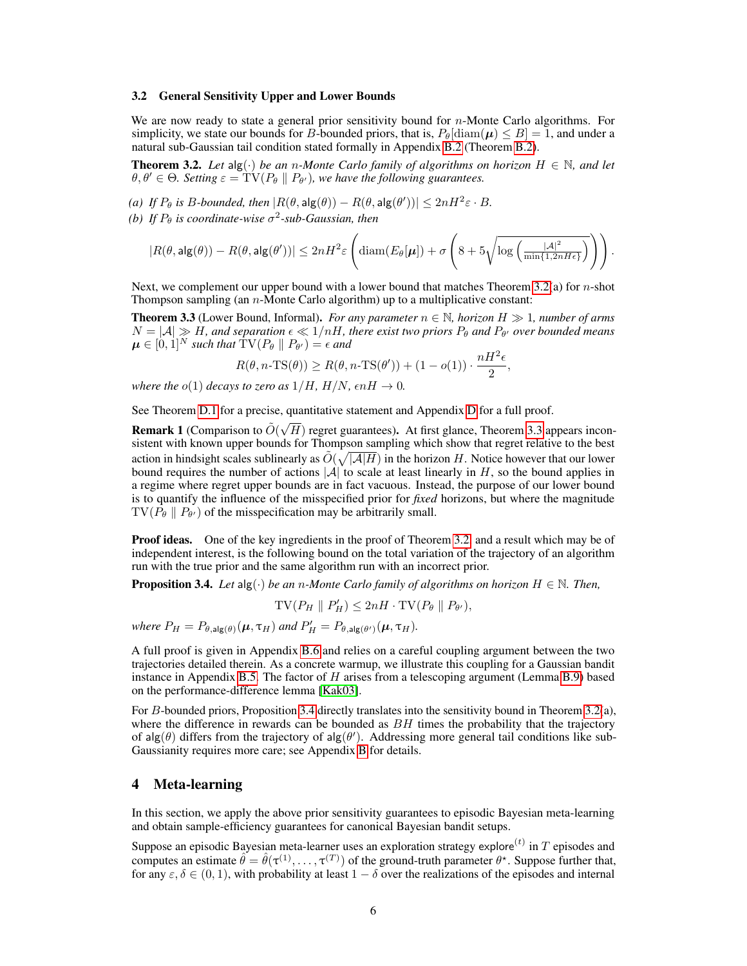#### <span id="page-5-1"></span>3.2 General Sensitivity Upper and Lower Bounds

We are now ready to state a general prior sensitivity bound for  $n$ -Monte Carlo algorithms. For simplicity, we state our bounds for B-bounded priors, that is,  $P_{\theta}$ [diam( $\mu$ )  $\leq B$ ] = 1, and under a natural sub-Gaussian tail condition stated formally in Appendix [B.2](#page--1-2) (Theorem [B.2\)](#page--1-4).

<span id="page-5-0"></span>**Theorem 3.2.** Let  $\text{alg}(\cdot)$  *be an n-Monte Carlo family of algorithms on horizon*  $H \in \mathbb{N}$ *, and let*  $\theta, \theta' \in \Theta$ . Setting  $\varepsilon = TV(P_\theta \parallel P_{\theta'})$ , we have the following guarantees.

*(a) If*  $P_{\theta}$  *is B-bounded, then*  $|R(\theta, \text{alg}(\theta)) - R(\theta, \text{alg}(\theta'))| \leq 2nH^2\varepsilon \cdot B$ *.* 

(b) If  $P_{\theta}$  is coordinate-wise  $\sigma^2$ -sub-Gaussian, then

$$
|R(\theta, \mathsf{alg}(\theta)) - R(\theta, \mathsf{alg}(\theta'))| \leq 2n H^2 \varepsilon \left( \mathrm{diam}(E_\theta[\boldsymbol{\mu}]) + \sigma \left( 8 + 5\sqrt{\log\left( \frac{|\mathcal{A}|^2}{\min\{1, 2nH\epsilon\}}\right)} \right) \right).
$$

Next, we complement our upper bound with a lower bound that matches Theorem [3.2\(](#page-5-0)a) for n-shot Thompson sampling (an  $n$ -Monte Carlo algorithm) up to a multiplicative constant:

<span id="page-5-2"></span>**Theorem 3.3** (Lower Bound, Informal). *For any parameter*  $n \in \mathbb{N}$ *, horizon*  $H \gg 1$ *, number of arms*  $N = |\mathcal{A}| \gg H$ , and separation  $\epsilon \ll 1/nH$ , there exist two priors  $P_\theta$  and  $P_{\theta'}$  over bounded means  $\boldsymbol{\mu} \in [0,1]^N$  such that  $\mathrm{TV}(P_\theta \parallel P_{\theta'}) = \epsilon$  and

$$
R(\theta, n\text{-TS}(\theta)) \ge R(\theta, n\text{-TS}(\theta')) + (1 - o(1)) \cdot \frac{nH^2\epsilon}{2},
$$

*where the*  $o(1)$  *decays to zero as*  $1/H$ *,*  $H/N$ *,*  $\epsilon nH \rightarrow 0$ *.* 

See Theorem [D.1](#page--1-5) for a precise, quantitative statement and Appendix [D](#page--1-3) for a full proof.

Remark 1 (Comparison to  $\tilde{O}(\sqrt{2})$  $H$ ) regret guarantees). At first glance, Theorem [3.3](#page-5-2) appears inconsistent with known upper bounds for Thompson sampling which show that regret relative to the best action in hindsight scales sublinearly as  $\tilde{O}(\sqrt{|\mathcal{A}|H})$  in the horizon H. Notice however that our lower bound requires the number of actions  $|\mathcal{A}|$  to scale at least linearly in H, so the bound applies in a regime where regret upper bounds are in fact vacuous. Instead, the purpose of our lower bound is to quantify the influence of the misspecified prior for *fixed* horizons, but where the magnitude  $TV(P_{\theta} \parallel P_{\theta'})$  of the misspecification may be arbitrarily small.

**Proof ideas.** One of the key ingredients in the proof of Theorem [3.2,](#page-5-0) and a result which may be of independent interest, is the following bound on the total variation of the trajectory of an algorithm run with the true prior and the same algorithm run with an incorrect prior.

<span id="page-5-3"></span>**Proposition 3.4.** *Let*  $\text{alg}(\cdot)$  *be an n-Monte Carlo family of algorithms on horizon*  $H \in \mathbb{N}$ *. Then,* 

 $\text{TV}(P_H \parallel P'_H) \leq 2nH \cdot \text{TV}(P_\theta \parallel P_{\theta'})$ ,

*where*  $P_H = P_{\theta, \text{alg}(\theta)}(\mu, \tau_H)$  *and*  $P'_H = P_{\theta, \text{alg}(\theta')}(\mu, \tau_H)$ *.* 

A full proof is given in Appendix [B.6](#page--1-3) and relies on a careful coupling argument between the two trajectories detailed therein. As a concrete warmup, we illustrate this coupling for a Gaussian bandit instance in Appendix [B.5.](#page--1-3) The factor of  $H$  arises from a telescoping argument (Lemma [B.9\)](#page--1-6) based on the performance-difference lemma [\[Kak03\]](#page-11-13).

For B-bounded priors, Proposition [3.4](#page-5-3) directly translates into the sensitivity bound in Theorem [3.2\(](#page-5-0)a), where the difference in rewards can be bounded as  $BH$  times the probability that the trajectory of alg( $\theta$ ) differs from the trajectory of alg( $\theta'$ ). Addressing more general tail conditions like sub-Gaussianity requires more care; see Appendix [B](#page--1-7) for details.

# 4 Meta-learning

In this section, we apply the above prior sensitivity guarantees to episodic Bayesian meta-learning and obtain sample-efficiency guarantees for canonical Bayesian bandit setups.

Suppose an episodic Bayesian meta-learner uses an exploration strategy explore $^{(t)}$  in  $T$  episodes and computes an estimate  $\hat{\theta} = \hat{\theta}(\tau^{(1)}, \dots, \tau^{(T)})$  of the ground-truth parameter  $\theta^*$ . Suppose further that, for any  $\varepsilon, \delta \in (0, 1)$ , with probability at least  $1 - \delta$  over the realizations of the episodes and internal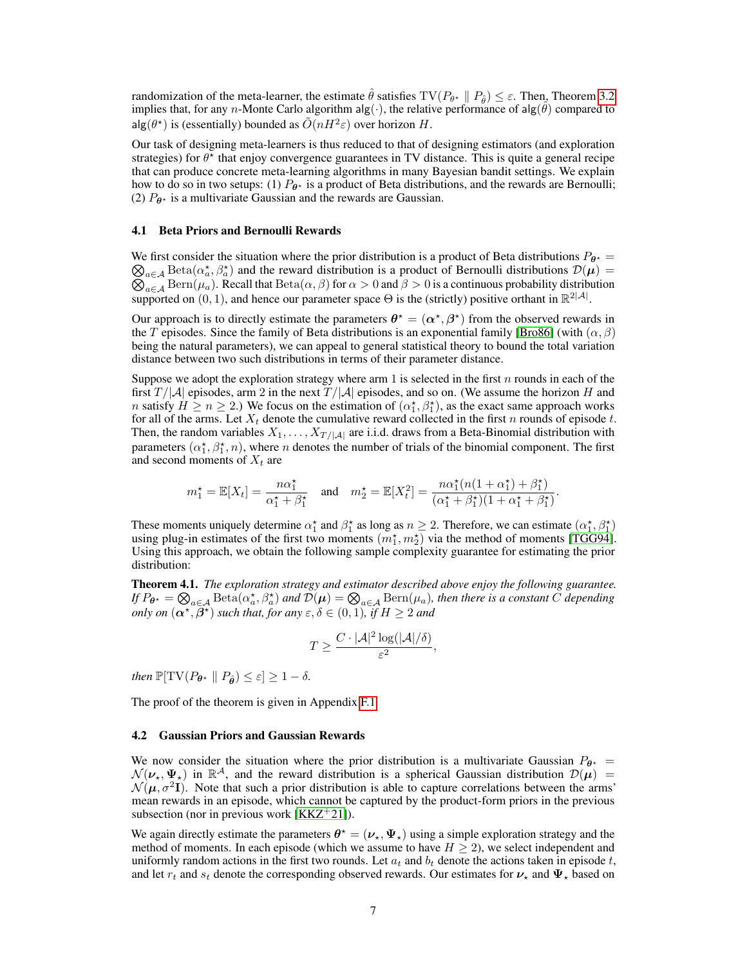randomization of the meta-learner, the estimate  $\hat{\theta}$  satisfies  $TV(P_{\theta^*} \parallel P_{\hat{\theta}}) \leq \varepsilon$ . Then, Theorem [3.2](#page-5-0) implies that, for any *n*-Monte Carlo algorithm alg( $\cdot$ ), the relative performance of alg( $\hat{\theta}$ ) compared to  $\log(\theta^*)$  is (essentially) bounded as  $\tilde{O}(nH^2\varepsilon)$  over horizon H.

Our task of designing meta-learners is thus reduced to that of designing estimators (and exploration strategies) for  $\theta^*$  that enjoy convergence guarantees in TV distance. This is quite a general recipe that can produce concrete meta-learning algorithms in many Bayesian bandit settings. We explain how to do so in two setups: (1)  $P_{\theta^*}$  is a product of Beta distributions, and the rewards are Bernoulli; (2)  $P_{\theta^*}$  is a multivariate Gaussian and the rewards are Gaussian.

#### 4.1 Beta Priors and Bernoulli Rewards

We first consider the situation where the prior distribution is a product of Beta distributions  $P_{\theta^*} =$  $\bigotimes_{a\in\mathcal{A}} \text{Beta}(\alpha^*_a, \beta^*_a)$  and the reward distribution is a product of Bernoulli distributions  $\mathcal{D}(\mu)$  =  $\bigotimes_{a \in \mathcal{A}} \text{Bern}(a_a, \beta_a)$  and the reward distribution is a product of Bernoulii distributions  $D(\mu) = \bigotimes_{a \in \mathcal{A}} \text{Bern}(\mu_a)$ . Recall that  $\text{Beta}(\alpha, \beta)$  for  $\alpha > 0$  and  $\beta > 0$  is a continuous probability distribution supported on  $(0, 1)$ , and hence our parameter space  $\Theta$  is the (strictly) positive orthant in  $\mathbb{R}^{2|\mathcal{A}|}$ .

Our approach is to directly estimate the parameters  $\theta^* = (\alpha^*, \beta^*)$  from the observed rewards in the T episodes. Since the family of Beta distributions is an exponential family [\[Bro86\]](#page-10-15) (with  $(\alpha, \beta)$ ) being the natural parameters), we can appeal to general statistical theory to bound the total variation distance between two such distributions in terms of their parameter distance.

Suppose we adopt the exploration strategy where arm 1 is selected in the first  $n$  rounds in each of the first  $T/|\mathcal{A}|$  episodes, arm 2 in the next  $T/|\mathcal{A}|$  episodes, and so on. (We assume the horizon H and *n* satisfy  $H \ge n \ge 2$ .) We focus on the estimation of  $(\alpha_1^*, \beta_1^*)$ , as the exact same approach works for all of the arms. Let  $X_t$  denote the cumulative reward collected in the first n rounds of episode t. Then, the random variables  $X_1, \ldots, X_{T/|A|}$  are i.i.d. draws from a Beta-Binomial distribution with parameters  $(\alpha_1^*, \beta_1^*, n)$ , where *n* denotes the number of trials of the binomial component. The first and second moments of  $X_t$  are

$$
m_1^* = \mathbb{E}[X_t] = \frac{n\alpha_1^*}{\alpha_1^* + \beta_1^*}
$$
 and  $m_2^* = \mathbb{E}[X_t^2] = \frac{n\alpha_1^*(n(1 + \alpha_1^*) + \beta_1^*)}{(\alpha_1^* + \beta_1^*)(1 + \alpha_1^* + \beta_1^*)}.$ 

These moments uniquely determine  $\alpha_1^*$  and  $\beta_1^*$  as long as  $n \geq 2$ . Therefore, we can estimate  $(\alpha_1^*, \beta_1^*)$ using plug-in estimates of the first two moments  $(m_1^*, m_2^*)$  via the method of moments [\[TGG94\]](#page-11-14). Using this approach, we obtain the following sample complexity guarantee for estimating the prior distribution:

Theorem 4.1. *The exploration strategy and estimator described above enjoy the following guarantee. If*  $P_{\theta^*} = \bigotimes_{a \in \mathcal{A}} \text{Beta}(\alpha^*_a, \beta^*_a)$  and  $\mathcal{D}(\mu) = \bigotimes_{a \in \mathcal{A}} \text{Bern}(\mu_a)$ , then there is a constant  $\tilde{C}$  depending *only on*  $(\alpha^*, \beta^*)$  *such that, for any*  $\varepsilon, \delta \in (0, 1)$ *, if*  $H \geq 2$  *and* 

$$
T \geq \frac{C \cdot |\mathcal{A}|^2 \log(|\mathcal{A}|/\delta)}{\varepsilon^2},
$$

*then*  $\mathbb{P}[\text{TV}(P_{\theta^*} \parallel P_{\hat{\theta}}) \leq \varepsilon] \geq 1 - \delta$ .

The proof of the theorem is given in Appendix [F.1.](#page--1-8)

#### 4.2 Gaussian Priors and Gaussian Rewards

We now consider the situation where the prior distribution is a multivariate Gaussian  $P_{\theta^*}$  =  $\mathcal{N}(\nu_\star, \Psi_\star)$  in  $\mathbb{R}^{\mathcal{A}}$ , and the reward distribution is a spherical Gaussian distribution  $\mathcal{D}(\mu)$  =  $\mathcal{N}(\mu, \sigma^2 I)$ . Note that such a prior distribution is able to capture correlations between the arms' mean rewards in an episode, which cannot be captured by the product-form priors in the previous subsection (nor in previous work  $[KKZ^+21]$  $[KKZ^+21]$ ).

We again directly estimate the parameters  $\theta^* = (\nu_*, \Psi_*)$  using a simple exploration strategy and the method of moments. In each episode (which we assume to have  $H \geq 2$ ), we select independent and uniformly random actions in the first two rounds. Let  $a_t$  and  $b_t$  denote the actions taken in episode t, and let  $r_t$  and  $s_t$  denote the corresponding observed rewards. Our estimates for  $v_\star$  and  $\Psi_\star$  based on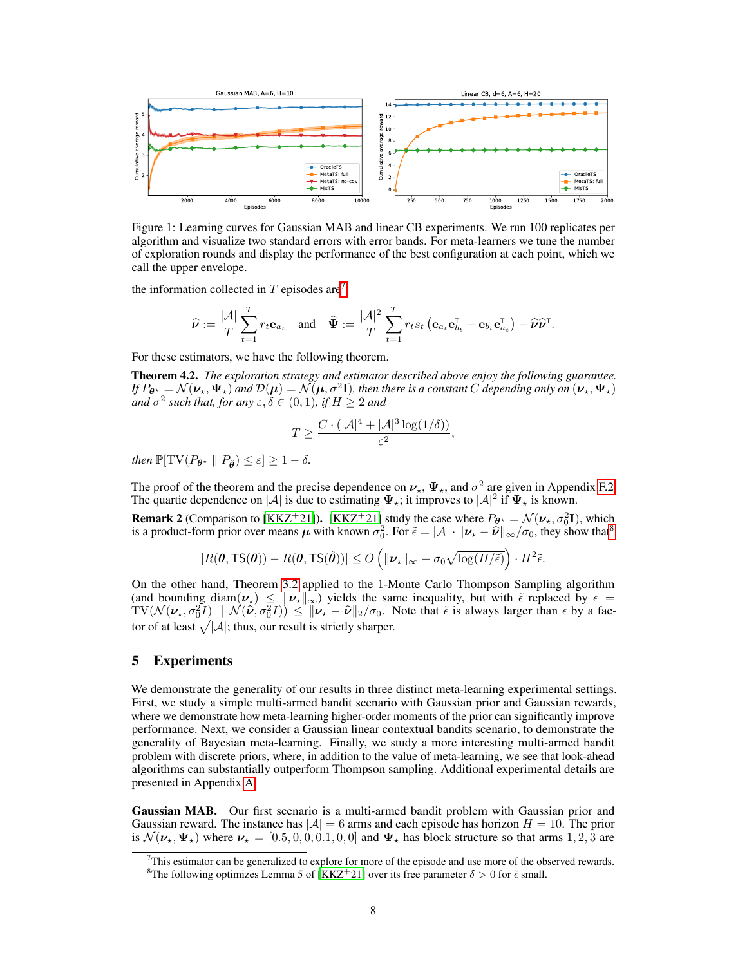

<span id="page-7-3"></span>Figure 1: Learning curves for Gaussian MAB and linear CB experiments. We run 100 replicates per algorithm and visualize two standard errors with error bands. For meta-learners we tune the number of exploration rounds and display the performance of the best configuration at each point, which we call the upper envelope.

the information collected in  $T$  episodes are<sup>[7](#page-7-1)</sup>

$$
\widehat{\boldsymbol{\nu}} := \frac{|\mathcal{A}|}{T} \sum_{t=1}^T r_t \mathbf{e}_{a_t} \quad \text{and} \quad \widehat{\boldsymbol{\Psi}} := \frac{|\mathcal{A}|^2}{T} \sum_{t=1}^T r_t s_t \left( \mathbf{e}_{a_t} \mathbf{e}_{b_t}^{\mathsf{T}} + \mathbf{e}_{b_t} \mathbf{e}_{a_t}^{\mathsf{T}} \right) - \widehat{\boldsymbol{\nu}} \widehat{\boldsymbol{\nu}}^{\mathsf{T}}.
$$

For these estimators, we have the following theorem.

Theorem 4.2. *The exploration strategy and estimator described above enjoy the following guarantee. If*  $P_{\theta^{\star}} = \mathcal{N}(\nu_\star, \Psi_\star)$  and  $\mathcal{D}(\mu) = \mathcal{N}(\mu, \sigma^2 \mathbf{I})$ , then there is a constant  $C$  depending only on  $(\nu_\star, \Psi_\star)$ *and*  $\sigma^2$  such that, for any  $\varepsilon, \delta \in (0,1)$ , if  $H \geq 2$  and

$$
T \ge \frac{C \cdot (|\mathcal{A}|^4 + |\mathcal{A}|^3 \log(1/\delta))}{\varepsilon^2},
$$

*then*  $\mathbb{P}[\text{TV}(P_{\theta^*} \parallel P_{\hat{\theta}}) \leq \varepsilon] \geq 1 - \delta$ .

The proof of the theorem and the precise dependence on  $\nu_{\star}$ ,  $\Psi_{\star}$ , and  $\sigma^2$  are given in Appendix [F.2.](#page--1-9) The quartic dependence on |A| is due to estimating  $\Psi_{\star}$ ; it improves to  $|A|^2$  if  $\Psi_{\star}$  is known.

<span id="page-7-0"></span>**Remark 2** (Comparison to [\[KKZ](#page-11-1)<sup>+</sup>21]). [KKZ<sup>+</sup>21] study the case where  $P_{\theta^*} = \mathcal{N}(\nu_*, \sigma_0^2 \mathbf{I})$ , which is a product-form prior over means  $\mu$  with known  $\sigma_0^2$ . For  $\tilde{\epsilon} = |\mathcal{A}| \cdot ||\nu_{\star} - \hat{\nu}||_{\infty}/\sigma_0$ , they show that<sup>[8](#page-7-2)</sup>

$$
|R(\boldsymbol{\theta}, \mathsf{TS}(\boldsymbol{\theta})) - R(\boldsymbol{\theta}, \mathsf{TS}(\hat{\boldsymbol{\theta}}))| \leq O\left(\|\boldsymbol{\nu}_\star\|_\infty + \sigma_0 \sqrt{\log(H/\tilde{\epsilon})}\right) \cdot H^2 \tilde{\epsilon}.
$$

On the other hand, Theorem [3.2](#page-5-0) applied to the 1-Monte Carlo Thompson Sampling algorithm (and bounding  $\text{diam}(\nu_\star) \leq \|\nu_\star\|_\infty$ ) yields the same inequality, but with  $\tilde{\epsilon}$  replaced by  $\epsilon =$  $TV(\mathcal{N}(\nu_\star, \sigma_0^2 I) \parallel \mathcal{N}(\hat{\nu}, \sigma_0^2 I)) \leq \|\nu_\star - \hat{\nu}\|_2/\sigma_0$ . Note that  $\tilde{\epsilon}$  is always larger than  $\epsilon$  by a factor of at least  $\sqrt{|\mathcal{A}|}$ ; thus, our result is strictly sharper.

# 5 Experiments

We demonstrate the generality of our results in three distinct meta-learning experimental settings. First, we study a simple multi-armed bandit scenario with Gaussian prior and Gaussian rewards, where we demonstrate how meta-learning higher-order moments of the prior can significantly improve performance. Next, we consider a Gaussian linear contextual bandits scenario, to demonstrate the generality of Bayesian meta-learning. Finally, we study a more interesting multi-armed bandit problem with discrete priors, where, in addition to the value of meta-learning, we see that look-ahead algorithms can substantially outperform Thompson sampling. Additional experimental details are presented in Appendix [A.](#page--1-10)

Gaussian MAB. Our first scenario is a multi-armed bandit problem with Gaussian prior and Gaussian reward. The instance has  $|\mathcal{A}| = 6$  arms and each episode has horizon  $H = 10$ . The prior is  $\mathcal{N}(\nu_{\star}, \Psi_{\star})$  where  $\nu_{\star} = [0.5, 0, 0, 0.1, 0, 0]$  and  $\Psi_{\star}$  has block structure so that arms 1, 2, 3 are

<span id="page-7-1"></span><sup>&</sup>lt;sup>7</sup>This estimator can be generalized to explore for more of the episode and use more of the observed rewards.

<span id="page-7-2"></span><sup>&</sup>lt;sup>8</sup>The following optimizes Lemma 5 of [\[KKZ](#page-11-1)<sup>+</sup>21] over its free parameter  $\delta > 0$  for  $\tilde{\epsilon}$  small.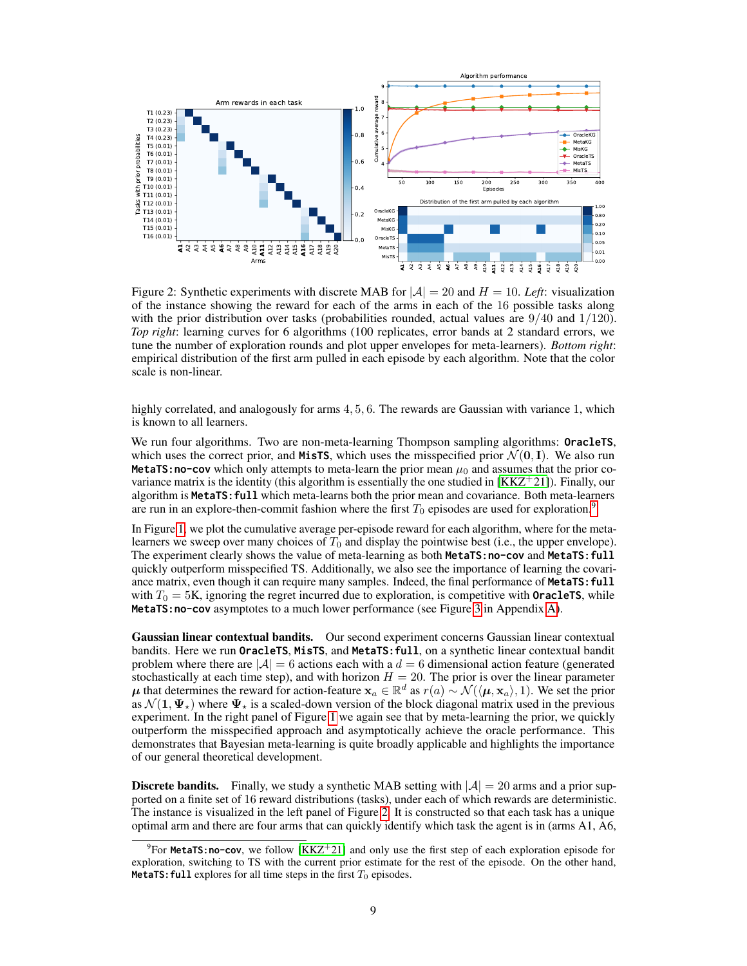

<span id="page-8-1"></span>Figure 2: Synthetic experiments with discrete MAB for  $|\mathcal{A}| = 20$  and  $H = 10$ . Left: visualization of the instance showing the reward for each of the arms in each of the 16 possible tasks along with the prior distribution over tasks (probabilities rounded, actual values are  $9/40$  and  $1/120$ ). *Top right*: learning curves for 6 algorithms (100 replicates, error bands at 2 standard errors, we tune the number of exploration rounds and plot upper envelopes for meta-learners). *Bottom right*: empirical distribution of the first arm pulled in each episode by each algorithm. Note that the color scale is non-linear.

highly correlated, and analogously for arms 4, 5, 6. The rewards are Gaussian with variance 1, which is known to all learners.

We run four algorithms. Two are non-meta-learning Thompson sampling algorithms: **OracleTS**, which uses the correct prior, and **MisTS**, which uses the misspecified prior  $\mathcal{N}(\mathbf{0}, \mathbf{I})$ . We also run **MetaTS:no-cov** which only attempts to meta-learn the prior mean  $\mu_0$  and assumes that the prior covariance matrix is the identity (this algorithm is essentially the one studied in  $[KKZ^+21]$  $[KKZ^+21]$ ). Finally, our algorithm is **MetaTS:full** which meta-learns both the prior mean and covariance. Both meta-learners are run in an explore-then-commit fashion where the first  $T_0$  episodes are used for exploration.<sup>[9](#page-8-0)</sup>

In Figure [1,](#page-7-3) we plot the cumulative average per-episode reward for each algorithm, where for the metalearners we sweep over many choices of  $T_0$  and display the pointwise best (i.e., the upper envelope). The experiment clearly shows the value of meta-learning as both **MetaTS:no-cov** and **MetaTS:full** quickly outperform misspecified TS. Additionally, we also see the importance of learning the covariance matrix, even though it can require many samples. Indeed, the final performance of **MetaTS: full** with  $T_0 = 5K$ , ignoring the regret incurred due to exploration, is competitive with **OracleTS**, while **MetaTS:no-cov** asymptotes to a much lower performance (see Figure [3](#page--1-11) in Appendix [A\)](#page--1-10).

Gaussian linear contextual bandits. Our second experiment concerns Gaussian linear contextual bandits. Here we run **OracleTS**, **MisTS**, and **MetaTS:full**, on a synthetic linear contextual bandit problem where there are  $|\mathcal{A}| = 6$  actions each with a  $d = 6$  dimensional action feature (generated stochastically at each time step), and with horizon  $H = 20$ . The prior is over the linear parameter  $\mu$  that determines the reward for action-feature  $x_a \in \mathbb{R}^d$  as  $r(a) \sim \mathcal{N}(\langle \mu, x_a \rangle, 1)$ . We set the prior as  $\mathcal{N}(1, \Psi_{\star})$  where  $\Psi_{\star}$  is a scaled-down version of the block diagonal matrix used in the previous experiment. In the right panel of Figure [1](#page-7-3) we again see that by meta-learning the prior, we quickly outperform the misspecified approach and asymptotically achieve the oracle performance. This demonstrates that Bayesian meta-learning is quite broadly applicable and highlights the importance of our general theoretical development.

**Discrete bandits.** Finally, we study a synthetic MAB setting with  $|\mathcal{A}| = 20$  arms and a prior supported on a finite set of 16 reward distributions (tasks), under each of which rewards are deterministic. The instance is visualized in the left panel of Figure [2.](#page-8-1) It is constructed so that each task has a unique optimal arm and there are four arms that can quickly identify which task the agent is in (arms A1, A6,

<span id="page-8-0"></span> $9$ For **MetaTS:no-cov**, we follow  $[KKZ^+21]$  $[KKZ^+21]$  and only use the first step of each exploration episode for exploration, switching to TS with the current prior estimate for the rest of the episode. On the other hand, **MetaTS: full** explores for all time steps in the first  $T_0$  episodes.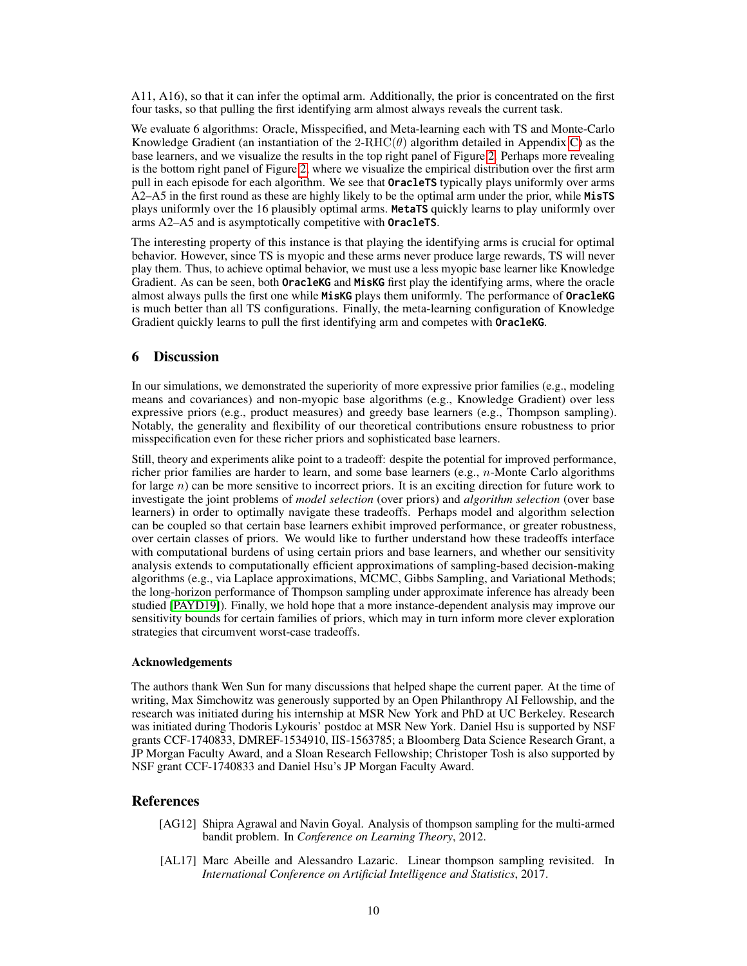A11, A16), so that it can infer the optimal arm. Additionally, the prior is concentrated on the first four tasks, so that pulling the first identifying arm almost always reveals the current task.

We evaluate 6 algorithms: Oracle, Misspecified, and Meta-learning each with TS and Monte-Carlo Knowledge Gradient (an instantiation of the  $2-RHC(\theta)$  algorithm detailed in Appendix [C\)](#page--1-3) as the base learners, and we visualize the results in the top right panel of Figure [2.](#page-8-1) Perhaps more revealing is the bottom right panel of Figure [2,](#page-8-1) where we visualize the empirical distribution over the first arm pull in each episode for each algorithm. We see that **OracleTS** typically plays uniformly over arms A2–A5 in the first round as these are highly likely to be the optimal arm under the prior, while **MisTS** plays uniformly over the 16 plausibly optimal arms. **MetaTS** quickly learns to play uniformly over arms A2–A5 and is asymptotically competitive with **OracleTS**.

The interesting property of this instance is that playing the identifying arms is crucial for optimal behavior. However, since TS is myopic and these arms never produce large rewards, TS will never play them. Thus, to achieve optimal behavior, we must use a less myopic base learner like Knowledge Gradient. As can be seen, both **OracleKG** and **MisKG** first play the identifying arms, where the oracle almost always pulls the first one while **MisKG** plays them uniformly. The performance of **OracleKG** is much better than all TS configurations. Finally, the meta-learning configuration of Knowledge Gradient quickly learns to pull the first identifying arm and competes with **OracleKG**.

# 6 Discussion

In our simulations, we demonstrated the superiority of more expressive prior families (e.g., modeling means and covariances) and non-myopic base algorithms (e.g., Knowledge Gradient) over less expressive priors (e.g., product measures) and greedy base learners (e.g., Thompson sampling). Notably, the generality and flexibility of our theoretical contributions ensure robustness to prior misspecification even for these richer priors and sophisticated base learners.

Still, theory and experiments alike point to a tradeoff: despite the potential for improved performance, richer prior families are harder to learn, and some base learners (e.g., n-Monte Carlo algorithms for large n) can be more sensitive to incorrect priors. It is an exciting direction for future work to investigate the joint problems of *model selection* (over priors) and *algorithm selection* (over base learners) in order to optimally navigate these tradeoffs. Perhaps model and algorithm selection can be coupled so that certain base learners exhibit improved performance, or greater robustness, over certain classes of priors. We would like to further understand how these tradeoffs interface with computational burdens of using certain priors and base learners, and whether our sensitivity analysis extends to computationally efficient approximations of sampling-based decision-making algorithms (e.g., via Laplace approximations, MCMC, Gibbs Sampling, and Variational Methods; the long-horizon performance of Thompson sampling under approximate inference has already been studied [\[PAYD19\]](#page-11-15)). Finally, we hold hope that a more instance-dependent analysis may improve our sensitivity bounds for certain families of priors, which may in turn inform more clever exploration strategies that circumvent worst-case tradeoffs.

#### Acknowledgements

The authors thank Wen Sun for many discussions that helped shape the current paper. At the time of writing, Max Simchowitz was generously supported by an Open Philanthropy AI Fellowship, and the research was initiated during his internship at MSR New York and PhD at UC Berkeley. Research was initiated during Thodoris Lykouris' postdoc at MSR New York. Daniel Hsu is supported by NSF grants CCF-1740833, DMREF-1534910, IIS-1563785; a Bloomberg Data Science Research Grant, a JP Morgan Faculty Award, and a Sloan Research Fellowship; Christoper Tosh is also supported by NSF grant CCF-1740833 and Daniel Hsu's JP Morgan Faculty Award.

# References

- <span id="page-9-1"></span>[AG12] Shipra Agrawal and Navin Goyal. Analysis of thompson sampling for the multi-armed bandit problem. In *Conference on Learning Theory*, 2012.
- <span id="page-9-0"></span>[AL17] Marc Abeille and Alessandro Lazaric. Linear thompson sampling revisited. In *International Conference on Artificial Intelligence and Statistics*, 2017.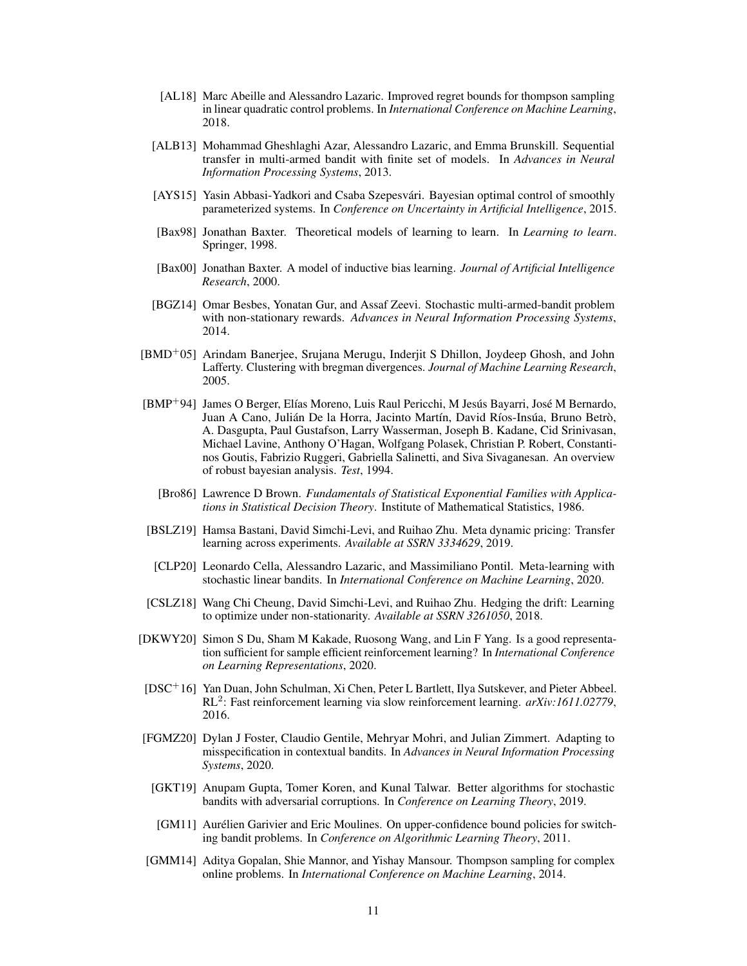- <span id="page-10-0"></span>[AL18] Marc Abeille and Alessandro Lazaric. Improved regret bounds for thompson sampling in linear quadratic control problems. In *International Conference on Machine Learning*, 2018.
- <span id="page-10-7"></span>[ALB13] Mohammad Gheshlaghi Azar, Alessandro Lazaric, and Emma Brunskill. Sequential transfer in multi-armed bandit with finite set of models. In *Advances in Neural Information Processing Systems*, 2013.
- [AYS15] Yasin Abbasi-Yadkori and Csaba Szepesvári. Bayesian optimal control of smoothly parameterized systems. In *Conference on Uncertainty in Artificial Intelligence*, 2015.
- <span id="page-10-4"></span>[Bax98] Jonathan Baxter. Theoretical models of learning to learn. In *Learning to learn*. Springer, 1998.
- <span id="page-10-5"></span>[Bax00] Jonathan Baxter. A model of inductive bias learning. *Journal of Artificial Intelligence Research*, 2000.
- <span id="page-10-10"></span>[BGZ14] Omar Besbes, Yonatan Gur, and Assaf Zeevi. Stochastic multi-armed-bandit problem with non-stationary rewards. *Advances in Neural Information Processing Systems*, 2014.
- [BMD<sup>+</sup>05] Arindam Banerjee, Srujana Merugu, Inderjit S Dhillon, Joydeep Ghosh, and John Lafferty. Clustering with bregman divergences. *Journal of Machine Learning Research*, 2005.
- <span id="page-10-2"></span>[BMP<sup>+</sup>94] James O Berger, Elías Moreno, Luis Raul Pericchi, M Jesús Bayarri, José M Bernardo, Juan A Cano, Julián De la Horra, Jacinto Martín, David Ríos-Insúa, Bruno Betrò, A. Dasgupta, Paul Gustafson, Larry Wasserman, Joseph B. Kadane, Cid Srinivasan, Michael Lavine, Anthony O'Hagan, Wolfgang Polasek, Christian P. Robert, Constantinos Goutis, Fabrizio Ruggeri, Gabriella Salinetti, and Siva Sivaganesan. An overview of robust bayesian analysis. *Test*, 1994.
	- [Bro86] Lawrence D Brown. *Fundamentals of Statistical Exponential Families with Applications in Statistical Decision Theory*. Institute of Mathematical Statistics, 1986.
- <span id="page-10-15"></span><span id="page-10-3"></span>[BSLZ19] Hamsa Bastani, David Simchi-Levi, and Ruihao Zhu. Meta dynamic pricing: Transfer learning across experiments. *Available at SSRN 3334629*, 2019.
- <span id="page-10-8"></span>[CLP20] Leonardo Cella, Alessandro Lazaric, and Massimiliano Pontil. Meta-learning with stochastic linear bandits. In *International Conference on Machine Learning*, 2020.
- <span id="page-10-11"></span>[CSLZ18] Wang Chi Cheung, David Simchi-Levi, and Ruihao Zhu. Hedging the drift: Learning to optimize under non-stationarity. *Available at SSRN 3261050*, 2018.
- <span id="page-10-13"></span>[DKWY20] Simon S Du, Sham M Kakade, Ruosong Wang, and Lin F Yang. Is a good representation sufficient for sample efficient reinforcement learning? In *International Conference on Learning Representations*, 2020.
- <span id="page-10-6"></span>[DSC<sup>+</sup>16] Yan Duan, John Schulman, Xi Chen, Peter L Bartlett, Ilya Sutskever, and Pieter Abbeel. RL<sup>2</sup> : Fast reinforcement learning via slow reinforcement learning. *arXiv:1611.02779*, 2016.
- <span id="page-10-14"></span>[FGMZ20] Dylan J Foster, Claudio Gentile, Mehryar Mohri, and Julian Zimmert. Adapting to misspecification in contextual bandits. In *Advances in Neural Information Processing Systems*, 2020.
- <span id="page-10-12"></span>[GKT19] Anupam Gupta, Tomer Koren, and Kunal Talwar. Better algorithms for stochastic bandits with adversarial corruptions. In *Conference on Learning Theory*, 2019.
- <span id="page-10-9"></span>[GM11] Aurélien Garivier and Eric Moulines. On upper-confidence bound policies for switching bandit problems. In *Conference on Algorithmic Learning Theory*, 2011.
- <span id="page-10-1"></span>[GMM14] Aditya Gopalan, Shie Mannor, and Yishay Mansour. Thompson sampling for complex online problems. In *International Conference on Machine Learning*, 2014.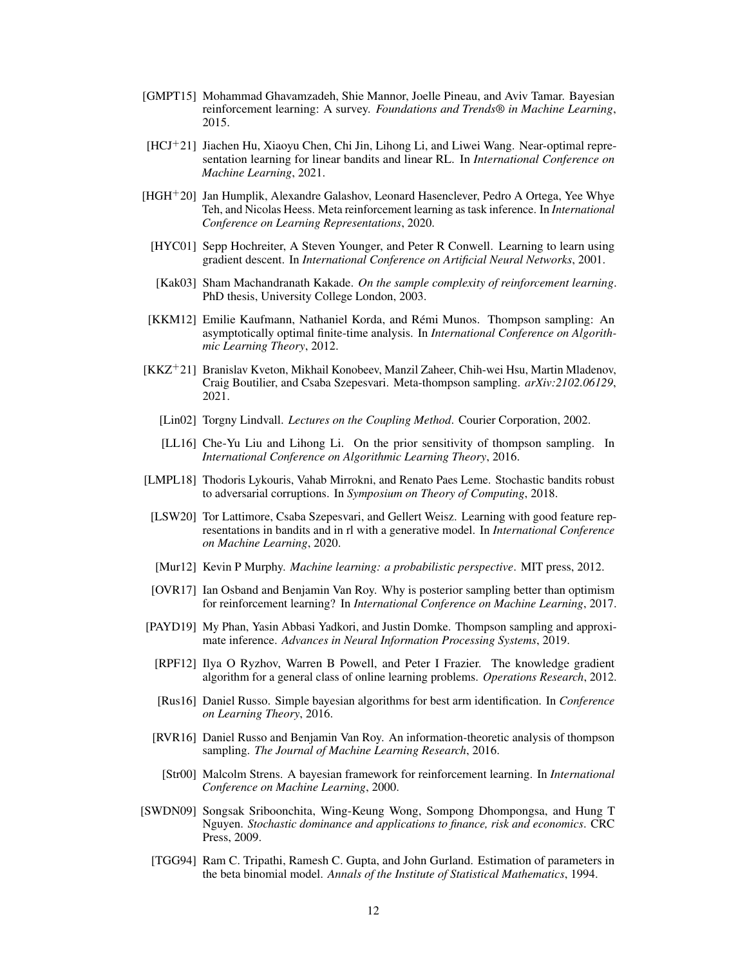- [GMPT15] Mohammad Ghavamzadeh, Shie Mannor, Joelle Pineau, and Aviv Tamar. Bayesian reinforcement learning: A survey. *Foundations and Trends® in Machine Learning*, 2015.
- <span id="page-11-10"></span>[HCJ+21] Jiachen Hu, Xiaoyu Chen, Chi Jin, Lihong Li, and Liwei Wang. Near-optimal representation learning for linear bandits and linear RL. In *International Conference on Machine Learning*, 2021.
- <span id="page-11-9"></span>[HGH+20] Jan Humplik, Alexandre Galashov, Leonard Hasenclever, Pedro A Ortega, Yee Whye Teh, and Nicolas Heess. Meta reinforcement learning as task inference. In *International Conference on Learning Representations*, 2020.
- <span id="page-11-8"></span>[HYC01] Sepp Hochreiter, A Steven Younger, and Peter R Conwell. Learning to learn using gradient descent. In *International Conference on Artificial Neural Networks*, 2001.
- <span id="page-11-13"></span>[Kak03] Sham Machandranath Kakade. *On the sample complexity of reinforcement learning*. PhD thesis, University College London, 2003.
- <span id="page-11-7"></span>[KKM12] Emilie Kaufmann, Nathaniel Korda, and Rémi Munos. Thompson sampling: An asymptotically optimal finite-time analysis. In *International Conference on Algorithmic Learning Theory*, 2012.
- <span id="page-11-1"></span>[KKZ<sup>+</sup>21] Branislav Kveton, Mikhail Konobeev, Manzil Zaheer, Chih-wei Hsu, Martin Mladenov, Craig Boutilier, and Csaba Szepesvari. Meta-thompson sampling. *arXiv:2102.06129*, 2021.
	- [Lin02] Torgny Lindvall. *Lectures on the Coupling Method*. Courier Corporation, 2002.
	- [LL16] Che-Yu Liu and Lihong Li. On the prior sensitivity of thompson sampling. In *International Conference on Algorithmic Learning Theory*, 2016.
- <span id="page-11-11"></span><span id="page-11-0"></span>[LMPL18] Thodoris Lykouris, Vahab Mirrokni, and Renato Paes Leme. Stochastic bandits robust to adversarial corruptions. In *Symposium on Theory of Computing*, 2018.
- <span id="page-11-12"></span>[LSW20] Tor Lattimore, Csaba Szepesvari, and Gellert Weisz. Learning with good feature representations in bandits and in rl with a generative model. In *International Conference on Machine Learning*, 2020.
- [Mur12] Kevin P Murphy. *Machine learning: a probabilistic perspective*. MIT press, 2012.
- <span id="page-11-4"></span>[OVR17] Ian Osband and Benjamin Van Roy. Why is posterior sampling better than optimism for reinforcement learning? In *International Conference on Machine Learning*, 2017.
- <span id="page-11-15"></span><span id="page-11-2"></span>[PAYD19] My Phan, Yasin Abbasi Yadkori, and Justin Domke. Thompson sampling and approximate inference. *Advances in Neural Information Processing Systems*, 2019.
	- [RPF12] Ilya O Ryzhov, Warren B Powell, and Peter I Frazier. The knowledge gradient algorithm for a general class of online learning problems. *Operations Research*, 2012.
	- [Rus16] Daniel Russo. Simple bayesian algorithms for best arm identification. In *Conference on Learning Theory*, 2016.
- <span id="page-11-6"></span><span id="page-11-5"></span><span id="page-11-3"></span>[RVR16] Daniel Russo and Benjamin Van Roy. An information-theoretic analysis of thompson sampling. *The Journal of Machine Learning Research*, 2016.
	- [Str00] Malcolm Strens. A bayesian framework for reinforcement learning. In *International Conference on Machine Learning*, 2000.
- <span id="page-11-14"></span>[SWDN09] Songsak Sriboonchita, Wing-Keung Wong, Sompong Dhompongsa, and Hung T Nguyen. *Stochastic dominance and applications to finance, risk and economics*. CRC Press, 2009.
	- [TGG94] Ram C. Tripathi, Ramesh C. Gupta, and John Gurland. Estimation of parameters in the beta binomial model. *Annals of the Institute of Statistical Mathematics*, 1994.